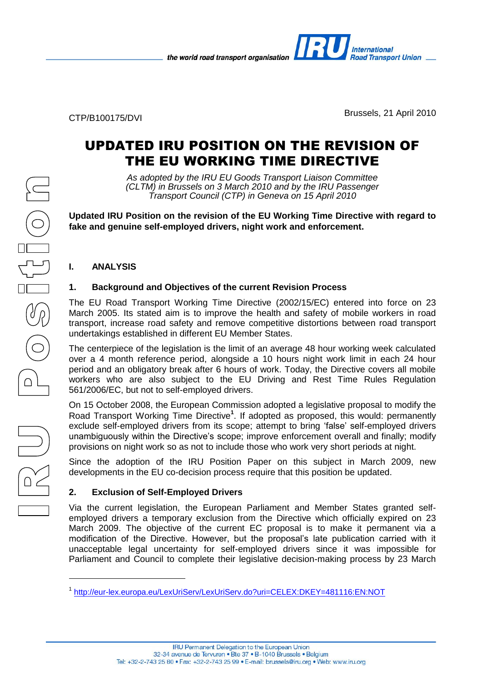the world road transport organisation



CTP/B100175/DVI Brussels, 21 April 2010

**Road Transport Union \_\_** 

**International** 

# UPDATED IRU POSITION ON THE REVISION OF THE EU WORKING TIME DIRECTIVE

*As adopted by the IRU EU Goods Transport Liaison Committee (CLTM) in Brussels on 3 March 2010 and by the IRU Passenger Transport Council (CTP) in Geneva on 15 April 2010*

**Updated IRU Position on the revision of the EU Working Time Directive with regard to fake and genuine self-employed drivers, night work and enforcement.**

## **I. ANALYSIS**

# **1. Background and Objectives of the current Revision Process**

The EU Road Transport Working Time Directive (2002/15/EC) entered into force on 23 March 2005. Its stated aim is to improve the health and safety of mobile workers in road transport, increase road safety and remove competitive distortions between road transport undertakings established in different EU Member States.

The centerpiece of the legislation is the limit of an average 48 hour working week calculated over a 4 month reference period, alongside a 10 hours night work limit in each 24 hour period and an obligatory break after 6 hours of work. Today, the Directive covers all mobile workers who are also subject to the EU Driving and Rest Time Rules Regulation 561/2006/EC, but not to self-employed drivers.

On 15 October 2008, the European Commission adopted a legislative proposal to modify the Road Transport Working Time Directive**<sup>1</sup>** . If adopted as proposed, this would: permanently exclude self-employed drivers from its scope; attempt to bring 'false' self-employed drivers unambiguously within the Directive's scope; improve enforcement overall and finally; modify provisions on night work so as not to include those who work very short periods at night.

Since the adoption of the IRU Position Paper on this subject in March 2009, new developments in the EU co-decision process require that this position be updated.

## **2. Exclusion of Self-Employed Drivers**

Via the current legislation, the European Parliament and Member States granted selfemployed drivers a temporary exclusion from the Directive which officially expired on 23 March 2009. The objective of the current EC proposal is to make it permanent via a modification of the Directive. However, but the proposal's late publication carried with it unacceptable legal uncertainty for self-employed drivers since it was impossible for Parliament and Council to complete their legislative decision-making process by 23 March

1

<sup>1</sup> <http://eur-lex.europa.eu/LexUriServ/LexUriServ.do?uri=CELEX:DKEY=481116:EN:NOT>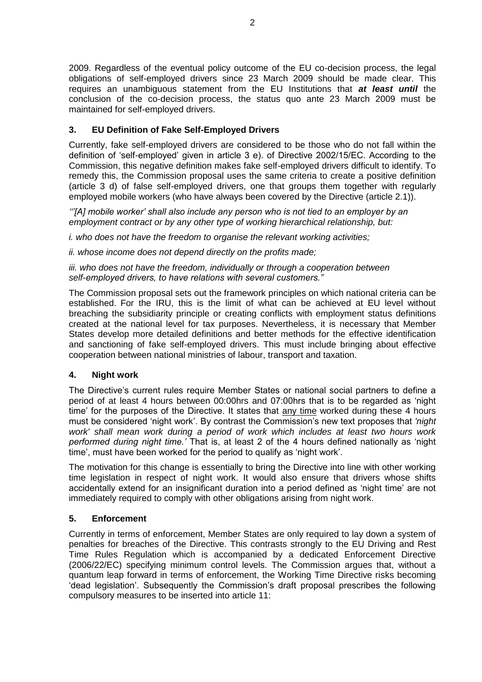2009. Regardless of the eventual policy outcome of the EU co-decision process, the legal obligations of self-employed drivers since 23 March 2009 should be made clear. This requires an unambiguous statement from the EU Institutions that *at least until* the conclusion of the co-decision process, the status quo ante 23 March 2009 must be maintained for self-employed drivers.

# **3. EU Definition of Fake Self-Employed Drivers**

Currently, fake self-employed drivers are considered to be those who do not fall within the definition of 'self-employed' given in article 3 e). of Directive 2002/15/EC. According to the Commission, this negative definition makes fake self-employed drivers difficult to identify. To remedy this, the Commission proposal uses the same criteria to create a positive definition (article 3 d) of false self-employed drivers, one that groups them together with regularly employed mobile workers (who have always been covered by the Directive (article 2.1)).

*'''[A] mobile worker' shall also include any person who is not tied to an employer by an employment contract or by any other type of working hierarchical relationship, but:*

*i. who does not have the freedom to organise the relevant working activities;*

*ii. whose income does not depend directly on the profits made;*

*iii. who does not have the freedom, individually or through a cooperation between self-employed drivers, to have relations with several customers."*

The Commission proposal sets out the framework principles on which national criteria can be established. For the IRU, this is the limit of what can be achieved at EU level without breaching the subsidiarity principle or creating conflicts with employment status definitions created at the national level for tax purposes. Nevertheless, it is necessary that Member States develop more detailed definitions and better methods for the effective identification and sanctioning of fake self-employed drivers. This must include bringing about effective cooperation between national ministries of labour, transport and taxation.

### **4. Night work**

The Directive's current rules require Member States or national social partners to define a period of at least 4 hours between 00:00hrs and 07:00hrs that is to be regarded as 'night time' for the purposes of the Directive. It states that any time worked during these 4 hours must be considered 'night work'. By contrast the Commission's new text proposes that *'night work' shall mean work during a period of work which includes at least two hours work performed during night time.'* That is, at least 2 of the 4 hours defined nationally as 'night time', must have been worked for the period to qualify as 'night work'.

The motivation for this change is essentially to bring the Directive into line with other working time legislation in respect of night work. It would also ensure that drivers whose shifts accidentally extend for an insignificant duration into a period defined as 'night time' are not immediately required to comply with other obligations arising from night work.

## **5. Enforcement**

Currently in terms of enforcement, Member States are only required to lay down a system of penalties for breaches of the Directive. This contrasts strongly to the EU Driving and Rest Time Rules Regulation which is accompanied by a dedicated Enforcement Directive (2006/22/EC) specifying minimum control levels. The Commission argues that, without a quantum leap forward in terms of enforcement, the Working Time Directive risks becoming 'dead legislation'. Subsequently the Commission's draft proposal prescribes the following compulsory measures to be inserted into article 11: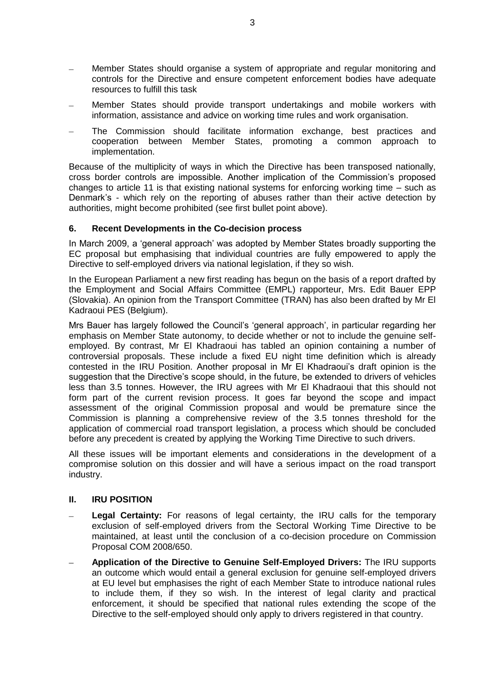- Member States should organise a system of appropriate and regular monitoring and controls for the Directive and ensure competent enforcement bodies have adequate resources to fulfill this task
- Member States should provide transport undertakings and mobile workers with information, assistance and advice on working time rules and work organisation.
- The Commission should facilitate information exchange, best practices and cooperation between Member States, promoting a common approach to implementation.

Because of the multiplicity of ways in which the Directive has been transposed nationally, cross border controls are impossible. Another implication of the Commission's proposed changes to article 11 is that existing national systems for enforcing working time – such as Denmark's - which rely on the reporting of abuses rather than their active detection by authorities, might become prohibited (see first bullet point above).

#### **6. Recent Developments in the Co-decision process**

In March 2009, a 'general approach' was adopted by Member States broadly supporting the EC proposal but emphasising that individual countries are fully empowered to apply the Directive to self-employed drivers via national legislation, if they so wish.

In the European Parliament a new first reading has begun on the basis of a report drafted by the Employment and Social Affairs Committee (EMPL) rapporteur, Mrs. Edit Bauer EPP (Slovakia). An opinion from the Transport Committee (TRAN) has also been drafted by Mr El Kadraoui PES (Belgium).

Mrs Bauer has largely followed the Council's 'general approach', in particular regarding her emphasis on Member State autonomy, to decide whether or not to include the genuine selfemployed. By contrast, Mr El Khadraoui has tabled an opinion containing a number of controversial proposals. These include a fixed EU night time definition which is already contested in the IRU Position. Another proposal in Mr El Khadraoui's draft opinion is the suggestion that the Directive's scope should, in the future, be extended to drivers of vehicles less than 3.5 tonnes. However, the IRU agrees with Mr El Khadraoui that this should not form part of the current revision process. It goes far beyond the scope and impact assessment of the original Commission proposal and would be premature since the Commission is planning a comprehensive review of the 3.5 tonnes threshold for the application of commercial road transport legislation, a process which should be concluded before any precedent is created by applying the Working Time Directive to such drivers.

All these issues will be important elements and considerations in the development of a compromise solution on this dossier and will have a serious impact on the road transport industry.

#### **II. IRU POSITION**

- **Legal Certainty:** For reasons of legal certainty, the IRU calls for the temporary exclusion of self-employed drivers from the Sectoral Working Time Directive to be maintained, at least until the conclusion of a co-decision procedure on Commission Proposal COM 2008/650.
- **Application of the Directive to Genuine Self-Employed Drivers:** The IRU supports an outcome which would entail a general exclusion for genuine self-employed drivers at EU level but emphasises the right of each Member State to introduce national rules to include them, if they so wish. In the interest of legal clarity and practical enforcement, it should be specified that national rules extending the scope of the Directive to the self-employed should only apply to drivers registered in that country.